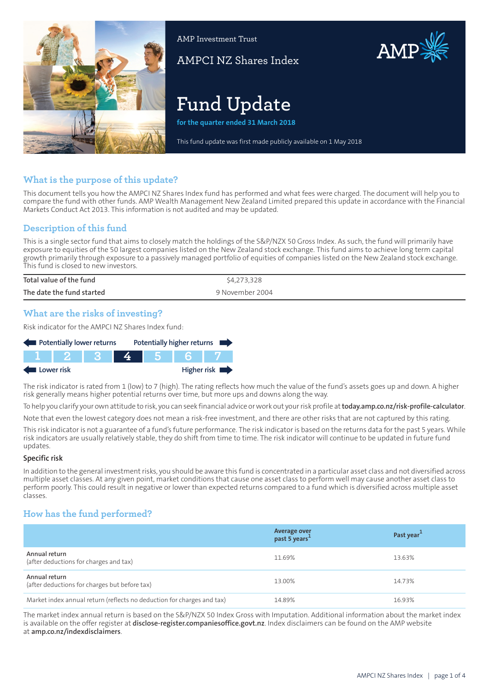

AMP Investment Trust

AMPCI NZ Shares Index

# **Fund Update**

**for the quarter ended 31 March 2018**

This fund update was first made publicly available on 1 May 2018

# **What is the purpose of this update?**

This document tells you how the AMPCI NZ Shares Index fund has performed and what fees were charged. The document will help you to compare the fund with other funds. AMP Wealth Management New Zealand Limited prepared this update in accordance with the Financial Markets Conduct Act 2013. This information is not audited and may be updated.

# **Description of this fund**

This is a single sector fund that aims to closely match the holdings of the S&P/NZX 50 Gross Index. As such, the fund will primarily have exposure to equities of the 50 largest companies listed on the New Zealand stock exchange. This fund aims to achieve long term capital growth primarily through exposure to a passively managed portfolio of equities of companies listed on the New Zealand stock exchange. This fund is closed to new investors.

| Total value of the fund   | \$4,273,328     |
|---------------------------|-----------------|
| The date the fund started | 9 November 2004 |

# **What are the risks of investing?**

Risk indicator for the AMPCI NZ Shares Index fund:



The risk indicator is rated from 1 (low) to 7 (high). The rating reflects how much the value of the fund's assets goes up and down. A higher risk generally means higher potential returns over time, but more ups and downs along the way.

To help you clarify your own attitude to risk, you can seek financial advice orwork out yourrisk profile at**[today.amp.co.nz/risk-profile-calculator](http://today.amp.co.nz/risk-profile-calculator)**.

Note that even the lowest category does not mean a risk-free investment, and there are other risks that are not captured by this rating.

This risk indicator is not a guarantee of a fund's future performance. The risk indicator is based on the returns data for the past 5 years. While risk indicators are usually relatively stable, they do shift from time to time. The risk indicator will continue to be updated in future fund updates.

#### **Specific risk**

In addition to the general investment risks, you should be aware this fund is concentrated in a particular asset class and not diversified across multiple asset classes. At any given point, market conditions that cause one asset class to perform well may cause another asset class to perform poorly. This could result in negative or lower than expected returns compared to a fund which is diversified across multiple asset classes.

## **How has the fund performed?**

|                                                                        | Average over<br>past 5 years <sup>1</sup> | Past year <sup>1</sup> |
|------------------------------------------------------------------------|-------------------------------------------|------------------------|
| Annual return<br>(after deductions for charges and tax)                | 11.69%                                    | 13.63%                 |
| Annual return<br>(after deductions for charges but before tax)         | 13.00%                                    | 14.73%                 |
| Market index annual return (reflects no deduction for charges and tax) | 14.89%                                    | 16.93%                 |

The market index annual return is based on the S&P/NZX 50 Index Gross with Imputation. Additional information about the market index is available on the offer register at **[disclose-register.companiesoffice.govt.nz](https://disclose-register.companiesoffice.govt.nz/)**. Index disclaimers can be found on the AMP website at **[amp.co.nz/indexdisclaimers](http://amp.co.nz/indexdisclaimers)**.

AMP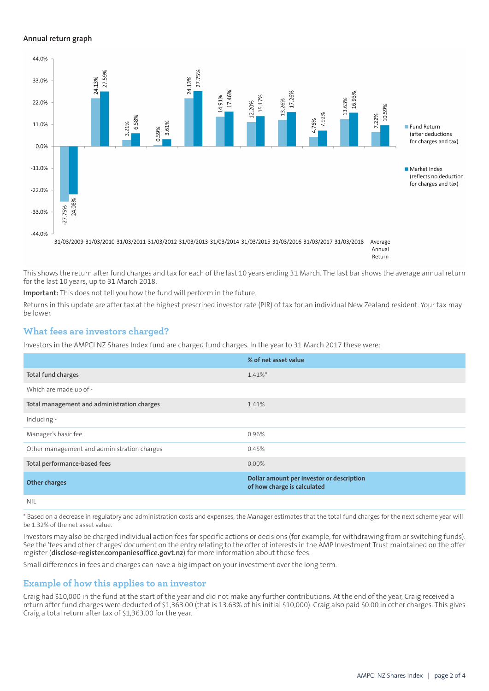#### **Annual return graph**



Return

This shows the return after fund charges and tax for each of the last 10 years ending 31 March. The last bar shows the average annual return for the last 10 years, up to 31 March 2018.

**Important:** This does not tell you how the fund will perform in the future.

Returns in this update are after tax at the highest prescribed investor rate (PIR) of tax for an individual New Zealand resident. Your tax may be lower.

## **What fees are investors charged?**

Investors in the AMPCI NZ Shares Index fund are charged fund charges. In the year to 31 March 2017 these were:

|                                             | % of net asset value                                                     |
|---------------------------------------------|--------------------------------------------------------------------------|
| Total fund charges                          | $1.41\%$ *                                                               |
| Which are made up of -                      |                                                                          |
| Total management and administration charges | 1.41%                                                                    |
| Including -                                 |                                                                          |
| Manager's basic fee                         | 0.96%                                                                    |
| Other management and administration charges | 0.45%                                                                    |
| Total performance-based fees                | $0.00\%$                                                                 |
| <b>Other charges</b>                        | Dollar amount per investor or description<br>of how charge is calculated |
| <b>NIL</b>                                  |                                                                          |

\* Based on a decrease in regulatory and administration costs and expenses, the Manager estimates that the total fund charges for the next scheme year will be 1.32% of the net asset value.

Investors may also be charged individual action fees for specific actions or decisions (for example, for withdrawing from or switching funds). See the 'fees and other charges' document on the entry relating to the offer of interests in the AMP Investment Trust maintained on the offer register (**[disclose-register.companiesoffice.govt.nz](https://disclose-register.companiesoffice.govt.nz/)**) for more information about those fees.

Small differences in fees and charges can have a big impact on your investment over the long term.

## **Example of how this applies to an investor**

Craig had \$10,000 in the fund at the start of the year and did not make any further contributions. At the end of the year, Craig received a return after fund charges were deducted of \$1,363.00 (that is 13.63% of his initial \$10,000). Craig also paid \$0.00 in other charges. This gives Craig a total return after tax of \$1,363.00 for the year.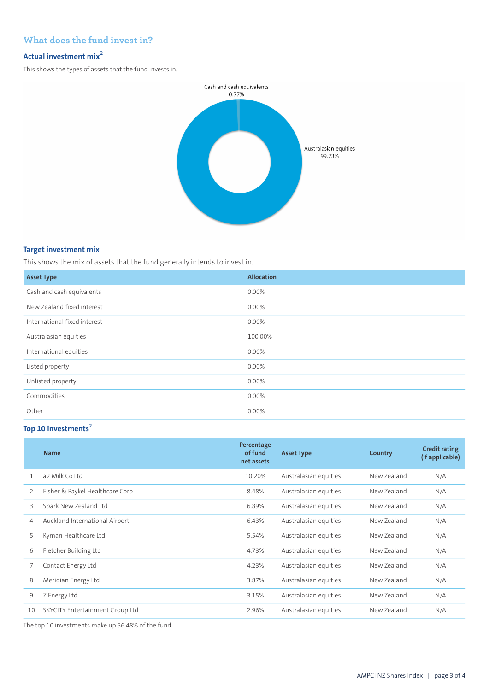# **What does the fund invest in?**

## **Actual investment mix<sup>2</sup>**

This shows the types of assets that the fund invests in.



### **Target investment mix**

This shows the mix of assets that the fund generally intends to invest in.

| <b>Asset Type</b>            | <b>Allocation</b> |
|------------------------------|-------------------|
| Cash and cash equivalents    | 0.00%             |
| New Zealand fixed interest   | 0.00%             |
| International fixed interest | 0.00%             |
| Australasian equities        | 100.00%           |
| International equities       | 0.00%             |
| Listed property              | $0.00\%$          |
| Unlisted property            | 0.00%             |
| Commodities                  | 0.00%             |
| Other                        | 0.00%             |

# **Top 10 investments<sup>2</sup>**

|                | <b>Name</b>                     | Percentage<br>of fund<br>net assets | <b>Asset Type</b>     | Country     | <b>Credit rating</b><br>(if applicable) |
|----------------|---------------------------------|-------------------------------------|-----------------------|-------------|-----------------------------------------|
| 1              | a2 Milk Coltd                   | 10.20%                              | Australasian equities | New Zealand | N/A                                     |
| 2              | Fisher & Paykel Healthcare Corp | 8.48%                               | Australasian equities | New Zealand | N/A                                     |
| 3              | Spark New Zealand Ltd           | 6.89%                               | Australasian equities | New Zealand | N/A                                     |
| $\overline{4}$ | Auckland International Airport  | 6.43%                               | Australasian equities | New Zealand | N/A                                     |
| 5              | Ryman Healthcare Ltd            | 5.54%                               | Australasian equities | New Zealand | N/A                                     |
| 6              | Fletcher Building Ltd           | 4.73%                               | Australasian equities | New Zealand | N/A                                     |
|                | Contact Energy Ltd              | 4.23%                               | Australasian equities | New Zealand | N/A                                     |
| 8              | Meridian Energy Ltd             | 3.87%                               | Australasian equities | New Zealand | N/A                                     |
| 9              | Z Energy Ltd                    | 3.15%                               | Australasian equities | New Zealand | N/A                                     |
| 10             | SKYCITY Entertainment Group Ltd | 2.96%                               | Australasian equities | New Zealand | N/A                                     |

The top 10 investments make up 56.48% of the fund.